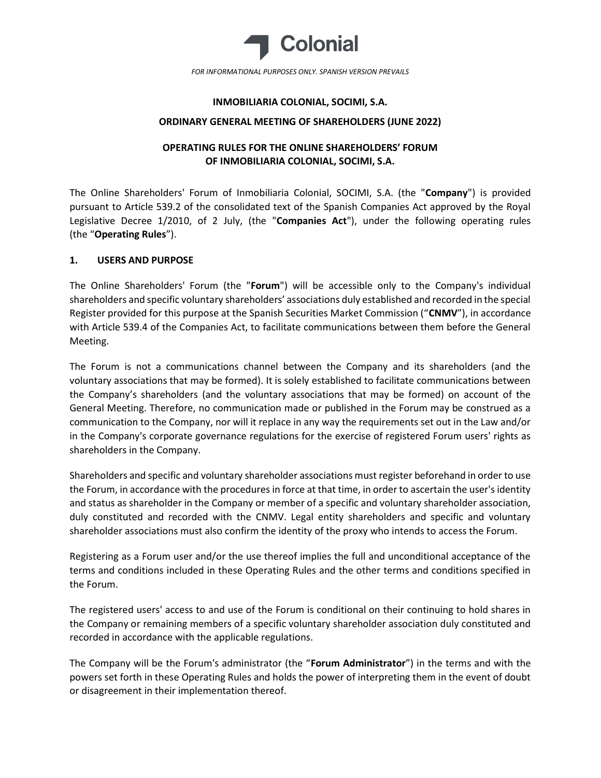

# INMOBILIARIA COLONIAL, SOCIMI, S.A.

## ORDINARY GENERAL MEETING OF SHAREHOLDERS (JUNE 2022)

# OPERATING RULES FOR THE ONLINE SHAREHOLDERS' FORUM OF INMOBILIARIA COLONIAL, SOCIMI, S.A.

The Online Shareholders' Forum of Inmobiliaria Colonial, SOCIMI, S.A. (the "Company") is provided pursuant to Article 539.2 of the consolidated text of the Spanish Companies Act approved by the Royal Legislative Decree 1/2010, of 2 July, (the "Companies Act"), under the following operating rules (the "Operating Rules").

# 1. USERS AND PURPOSE

The Online Shareholders' Forum (the "Forum") will be accessible only to the Company's individual shareholders and specific voluntary shareholders' associations duly established and recorded in the special Register provided for this purpose at the Spanish Securities Market Commission ("CNMV"), in accordance with Article 539.4 of the Companies Act, to facilitate communications between them before the General Meeting.

The Forum is not a communications channel between the Company and its shareholders (and the voluntary associations that may be formed). It is solely established to facilitate communications between the Company's shareholders (and the voluntary associations that may be formed) on account of the General Meeting. Therefore, no communication made or published in the Forum may be construed as a communication to the Company, nor will it replace in any way the requirements set out in the Law and/or in the Company's corporate governance regulations for the exercise of registered Forum users' rights as shareholders in the Company.

Shareholders and specific and voluntary shareholder associations must register beforehand in order to use the Forum, in accordance with the procedures in force at that time, in order to ascertain the user's identity and status as shareholder in the Company or member of a specific and voluntary shareholder association, duly constituted and recorded with the CNMV. Legal entity shareholders and specific and voluntary shareholder associations must also confirm the identity of the proxy who intends to access the Forum.

Registering as a Forum user and/or the use thereof implies the full and unconditional acceptance of the terms and conditions included in these Operating Rules and the other terms and conditions specified in the Forum.

The registered users' access to and use of the Forum is conditional on their continuing to hold shares in the Company or remaining members of a specific voluntary shareholder association duly constituted and recorded in accordance with the applicable regulations.

The Company will be the Forum's administrator (the "Forum Administrator") in the terms and with the powers set forth in these Operating Rules and holds the power of interpreting them in the event of doubt or disagreement in their implementation thereof.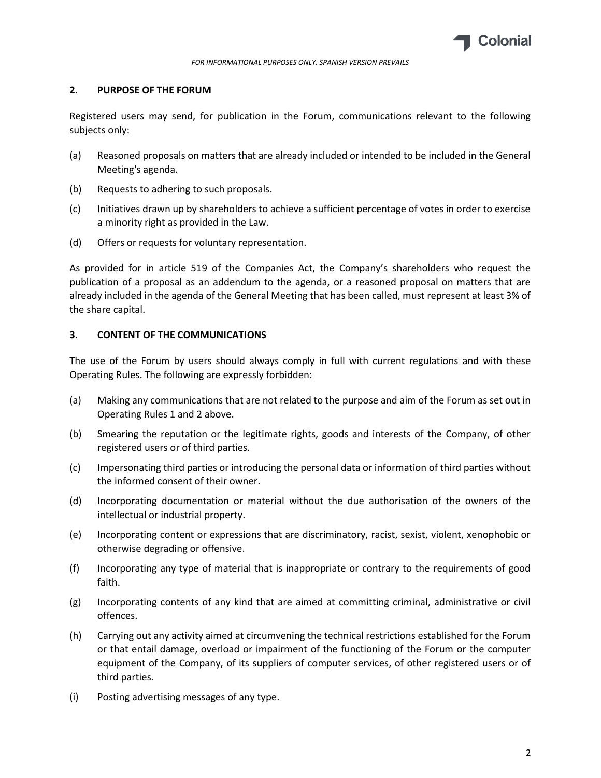

## 2. PURPOSE OF THE FORUM

Registered users may send, for publication in the Forum, communications relevant to the following subjects only:

- (a) Reasoned proposals on matters that are already included or intended to be included in the General Meeting's agenda.
- (b) Requests to adhering to such proposals.
- (c) Initiatives drawn up by shareholders to achieve a sufficient percentage of votes in order to exercise a minority right as provided in the Law.
- (d) Offers or requests for voluntary representation.

As provided for in article 519 of the Companies Act, the Company's shareholders who request the publication of a proposal as an addendum to the agenda, or a reasoned proposal on matters that are already included in the agenda of the General Meeting that has been called, must represent at least 3% of the share capital.

## 3. CONTENT OF THE COMMUNICATIONS

The use of the Forum by users should always comply in full with current regulations and with these Operating Rules. The following are expressly forbidden:

- (a) Making any communications that are not related to the purpose and aim of the Forum as set out in Operating Rules 1 and 2 above.
- (b) Smearing the reputation or the legitimate rights, goods and interests of the Company, of other registered users or of third parties.
- (c) Impersonating third parties or introducing the personal data or information of third parties without the informed consent of their owner.
- (d) Incorporating documentation or material without the due authorisation of the owners of the intellectual or industrial property.
- (e) Incorporating content or expressions that are discriminatory, racist, sexist, violent, xenophobic or otherwise degrading or offensive.
- (f) Incorporating any type of material that is inappropriate or contrary to the requirements of good faith.
- (g) Incorporating contents of any kind that are aimed at committing criminal, administrative or civil offences.
- (h) Carrying out any activity aimed at circumvening the technical restrictions established for the Forum or that entail damage, overload or impairment of the functioning of the Forum or the computer equipment of the Company, of its suppliers of computer services, of other registered users or of third parties.
- (i) Posting advertising messages of any type.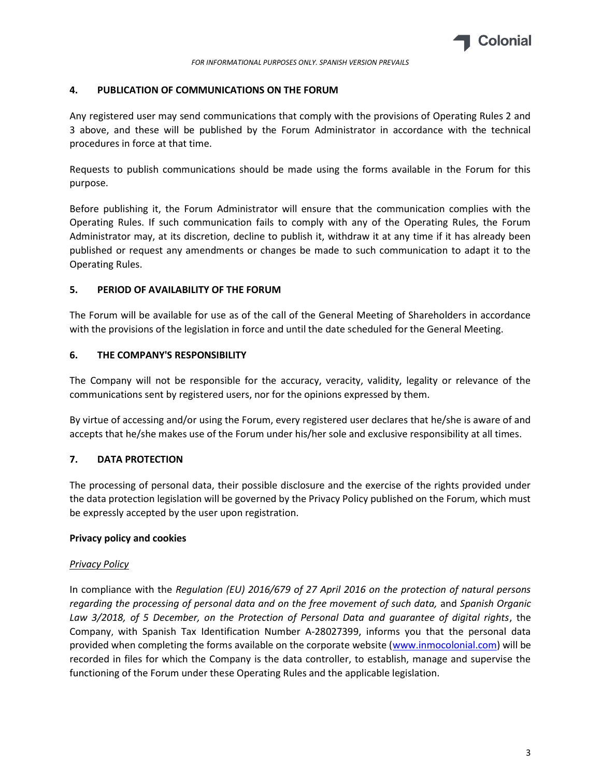

#### 4. PUBLICATION OF COMMUNICATIONS ON THE FORUM

Any registered user may send communications that comply with the provisions of Operating Rules 2 and 3 above, and these will be published by the Forum Administrator in accordance with the technical procedures in force at that time.

Requests to publish communications should be made using the forms available in the Forum for this purpose.

Before publishing it, the Forum Administrator will ensure that the communication complies with the Operating Rules. If such communication fails to comply with any of the Operating Rules, the Forum Administrator may, at its discretion, decline to publish it, withdraw it at any time if it has already been published or request any amendments or changes be made to such communication to adapt it to the Operating Rules.

## 5. PERIOD OF AVAILABILITY OF THE FORUM

The Forum will be available for use as of the call of the General Meeting of Shareholders in accordance with the provisions of the legislation in force and until the date scheduled for the General Meeting.

## 6. THE COMPANY'S RESPONSIBILITY

The Company will not be responsible for the accuracy, veracity, validity, legality or relevance of the communications sent by registered users, nor for the opinions expressed by them.

By virtue of accessing and/or using the Forum, every registered user declares that he/she is aware of and accepts that he/she makes use of the Forum under his/her sole and exclusive responsibility at all times.

# 7. DATA PROTECTION

The processing of personal data, their possible disclosure and the exercise of the rights provided under the data protection legislation will be governed by the Privacy Policy published on the Forum, which must be expressly accepted by the user upon registration.

#### Privacy policy and cookies

#### **Privacy Policy**

In compliance with the Regulation (EU) 2016/679 of 27 April 2016 on the protection of natural persons regarding the processing of personal data and on the free movement of such data, and Spanish Organic Law 3/2018, of 5 December, on the Protection of Personal Data and guarantee of digital rights, the Company, with Spanish Tax Identification Number A-28027399, informs you that the personal data provided when completing the forms available on the corporate website (www.inmocolonial.com) will be recorded in files for which the Company is the data controller, to establish, manage and supervise the functioning of the Forum under these Operating Rules and the applicable legislation.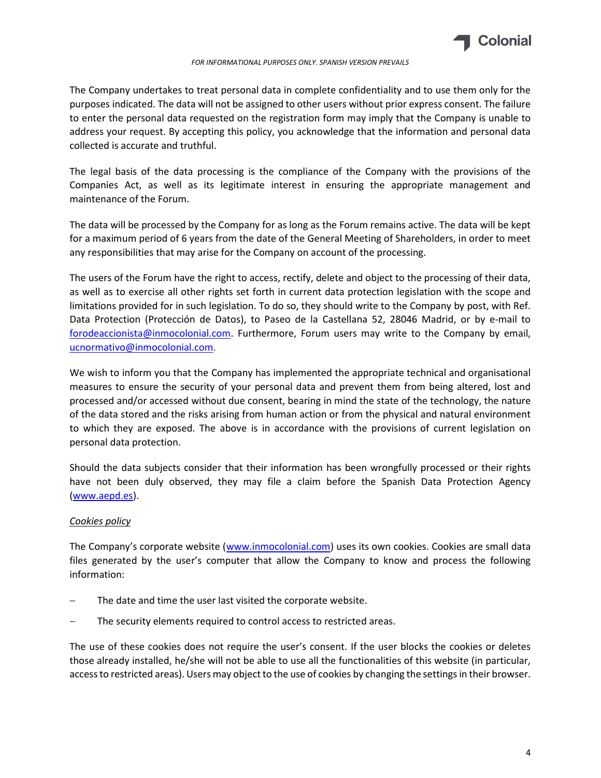

#### FOR INFORMATIONAL PURPOSES ONLY. SPANISH VERSION PREVAILS

The Company undertakes to treat personal data in complete confidentiality and to use them only for the purposes indicated. The data will not be assigned to other users without prior express consent. The failure to enter the personal data requested on the registration form may imply that the Company is unable to address your request. By accepting this policy, you acknowledge that the information and personal data collected is accurate and truthful.

The legal basis of the data processing is the compliance of the Company with the provisions of the Companies Act, as well as its legitimate interest in ensuring the appropriate management and maintenance of the Forum.

The data will be processed by the Company for as long as the Forum remains active. The data will be kept for a maximum period of 6 years from the date of the General Meeting of Shareholders, in order to meet any responsibilities that may arise for the Company on account of the processing.

The users of the Forum have the right to access, rectify, delete and object to the processing of their data, as well as to exercise all other rights set forth in current data protection legislation with the scope and limitations provided for in such legislation. To do so, they should write to the Company by post, with Ref. Data Protection (Protección de Datos), to Paseo de la Castellana 52, 28046 Madrid, or by e-mail to forodeaccionista@inmocolonial.com. Furthermore, Forum users may write to the Company by email, ucnormativo@inmocolonial.com.

We wish to inform you that the Company has implemented the appropriate technical and organisational measures to ensure the security of your personal data and prevent them from being altered, lost and processed and/or accessed without due consent, bearing in mind the state of the technology, the nature of the data stored and the risks arising from human action or from the physical and natural environment to which they are exposed. The above is in accordance with the provisions of current legislation on personal data protection.

Should the data subjects consider that their information has been wrongfully processed or their rights have not been duly observed, they may file a claim before the Spanish Data Protection Agency (www.aepd.es).

#### Cookies policy

The Company's corporate website (www.inmocolonial.com) uses its own cookies. Cookies are small data files generated by the user's computer that allow the Company to know and process the following information:

- The date and time the user last visited the corporate website.
- The security elements required to control access to restricted areas.

The use of these cookies does not require the user's consent. If the user blocks the cookies or deletes those already installed, he/she will not be able to use all the functionalities of this website (in particular, access to restricted areas). Users may object to the use of cookies by changing the settings in their browser.